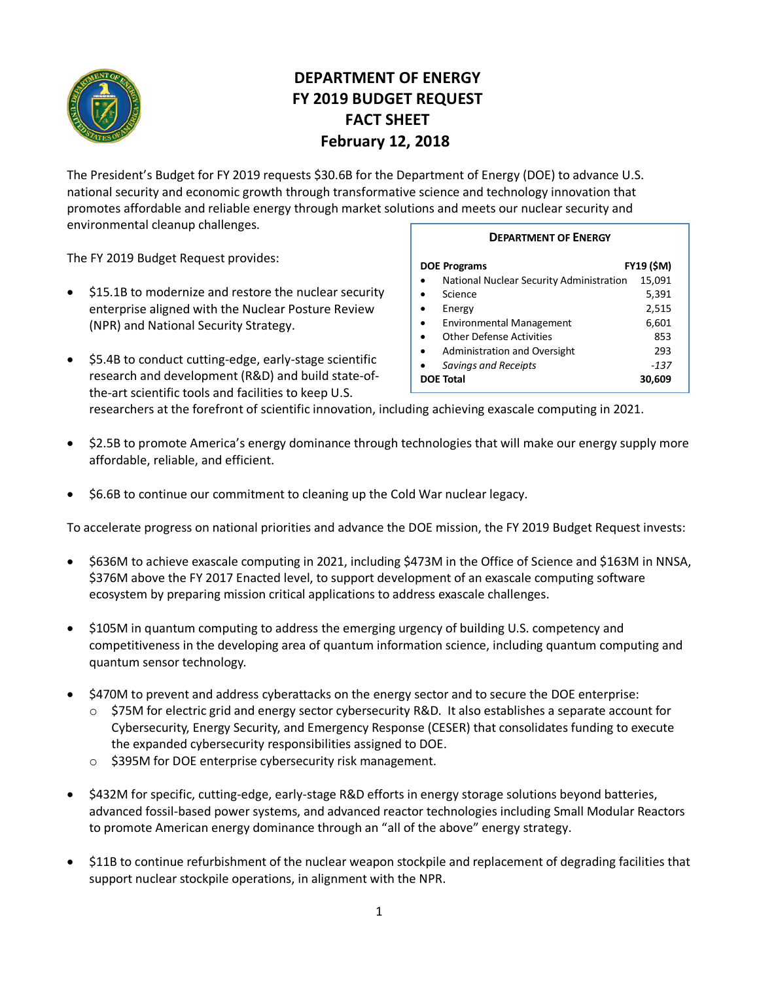

# **DEPARTMENT OF ENERGY FY 2019 BUDGET REQUEST FACT SHEET February 12, 2018**

The President's Budget for FY 2019 requests \$30.6B for the Department of Energy (DOE) to advance U.S. national security and economic growth through transformative science and technology innovation that promotes affordable and reliable energy through market solutions and meets our nuclear security and environmental cleanup challenges.

The FY 2019 Budget Request provides:

- \$15.1B to modernize and restore the nuclear security enterprise aligned with the Nuclear Posture Review (NPR) and National Security Strategy.
- \$5.4B to conduct cutting-edge, early-stage scientific research and development (R&D) and build state-ofthe-art scientific tools and facilities to keep U.S.

### **DEPARTMENT OF ENERGY**

| <b>DOE Programs</b>                          | <b>FY19 (\$M)</b> |
|----------------------------------------------|-------------------|
| National Nuclear Security Administration     | 15,091            |
| Science                                      | 5,391             |
| Energy                                       | 2,515             |
| <b>Environmental Management</b><br>$\bullet$ | 6,601             |
| <b>Other Defense Activities</b><br>$\bullet$ | 853               |
| Administration and Oversight<br>$\bullet$    | 293               |
| <b>Savings and Receipts</b>                  | $-137$            |
| <b>DOE Total</b>                             | 30.609            |

researchers at the forefront of scientific innovation, including achieving exascale computing in 2021.

- \$2.5B to promote America's energy dominance through technologies that will make our energy supply more affordable, reliable, and efficient.
- \$6.6B to continue our commitment to cleaning up the Cold War nuclear legacy.

To accelerate progress on national priorities and advance the DOE mission, the FY 2019 Budget Request invests:

- \$636M to achieve exascale computing in 2021, including \$473M in the Office of Science and \$163M in NNSA, \$376M above the FY 2017 Enacted level, to support development of an exascale computing software ecosystem by preparing mission critical applications to address exascale challenges.
- \$105M in quantum computing to address the emerging urgency of building U.S. competency and competitiveness in the developing area of quantum information science, including quantum computing and quantum sensor technology.
- \$470M to prevent and address cyberattacks on the energy sector and to secure the DOE enterprise:
	- o \$75M for electric grid and energy sector cybersecurity R&D. It also establishes a separate account for Cybersecurity, Energy Security, and Emergency Response (CESER) that consolidates funding to execute the expanded cybersecurity responsibilities assigned to DOE.
	- o \$395M for DOE enterprise cybersecurity risk management.
- \$432M for specific, cutting-edge, early-stage R&D efforts in energy storage solutions beyond batteries, advanced fossil-based power systems, and advanced reactor technologies including Small Modular Reactors to promote American energy dominance through an "all of the above" energy strategy.
- \$11B to continue refurbishment of the nuclear weapon stockpile and replacement of degrading facilities that support nuclear stockpile operations, in alignment with the NPR.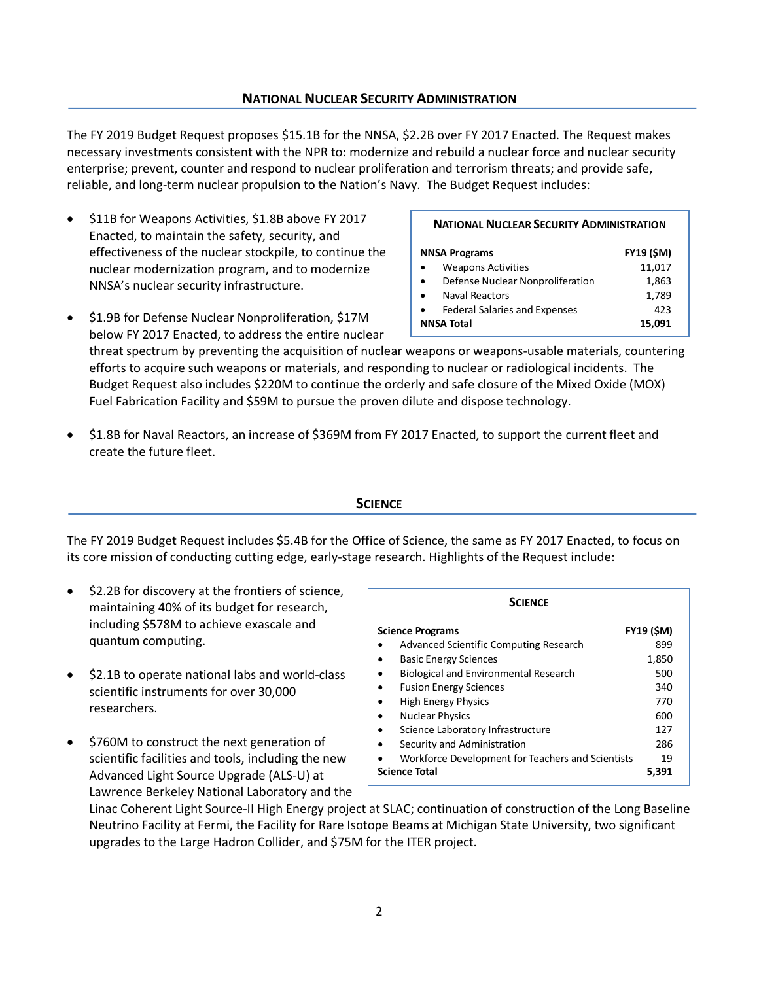2

# **NATIONAL NUCLEAR SECURITY ADMINISTRATION**

The FY 2019 Budget Request proposes \$15.1B for the NNSA, \$2.2B over FY 2017 Enacted. The Request makes necessary investments consistent with the NPR to: modernize and rebuild a nuclear force and nuclear security enterprise; prevent, counter and respond to nuclear proliferation and terrorism threats; and provide safe, reliable, and long-term nuclear propulsion to the Nation's Navy. The Budget Request includes:

- \$11B for Weapons Activities, \$1.8B above FY 2017 Enacted, to maintain the safety, security, and effectiveness of the nuclear stockpile, to continue the nuclear modernization program, and to modernize NNSA's nuclear security infrastructure.
- \$1.9B for Defense Nuclear Nonproliferation, \$17M below FY 2017 Enacted, to address the entire nuclear

threat spectrum by preventing the acquisition of nuclear weapons or weapons-usable materials, countering efforts to acquire such weapons or materials, and responding to nuclear or radiological incidents. The Budget Request also includes \$220M to continue the orderly and safe closure of the Mixed Oxide (MOX) Fuel Fabrication Facility and \$59M to pursue the proven dilute and dispose technology.

• \$1.8B for Naval Reactors, an increase of \$369M from FY 2017 Enacted, to support the current fleet and create the future fleet.

## **SCIENCE**

The FY 2019 Budget Request includes \$5.4B for the Office of Science, the same as FY 2017 Enacted, to focus on its core mission of conducting cutting edge, early-stage research. Highlights of the Request include:

- \$2.2B for discovery at the frontiers of science, maintaining 40% of its budget for research, including \$578M to achieve exascale and quantum computing.
- \$2.1B to operate national labs and world-class scientific instruments for over 30,000 researchers.
- \$760M to construct the next generation of scientific facilities and tools, including the new Advanced Light Source Upgrade (ALS-U) at Lawrence Berkeley National Laboratory and the

Linac Coherent Light Source-II High Energy project at SLAC; continuation of construction of the Long Baseline Neutrino Facility at Fermi, the Facility for Rare Isotope Beams at Michigan State University, two significant upgrades to the Large Hadron Collider, and \$75M for the ITER project.

| <b>NATIONAL NUCLEAR SECURITY ADMINISTRATION</b> |                   |  |
|-------------------------------------------------|-------------------|--|
| <b>NNSA Programs</b>                            | <b>FY19 (\$M)</b> |  |
| <b>Weapons Activities</b>                       | 11,017            |  |
| Defense Nuclear Nonproliferation                | 1,863             |  |
| Naval Reactors                                  | 1,789             |  |
| <b>Federal Salaries and Expenses</b>            | 423               |  |
| <b>NNSA Total</b>                               | 15.091            |  |
|                                                 |                   |  |

| <b>SCIENCE</b>                                                 |                   |  |
|----------------------------------------------------------------|-------------------|--|
| <b>Science Programs</b>                                        | <b>FY19 (\$M)</b> |  |
| Advanced Scientific Computing Research<br>$\bullet$            | 899               |  |
| <b>Basic Energy Sciences</b><br>$\bullet$                      | 1,850             |  |
| <b>Biological and Environmental Research</b><br>$\bullet$      | 500               |  |
| <b>Fusion Energy Sciences</b><br>$\bullet$                     | 340               |  |
| <b>High Energy Physics</b><br>$\bullet$                        | 770               |  |
| <b>Nuclear Physics</b><br>$\bullet$                            | 600               |  |
| Science Laboratory Infrastructure<br>$\bullet$                 | 127               |  |
| Security and Administration<br>$\bullet$                       | 286               |  |
| Workforce Development for Teachers and Scientists<br>$\bullet$ | 19                |  |
| Science Total                                                  | 5.391             |  |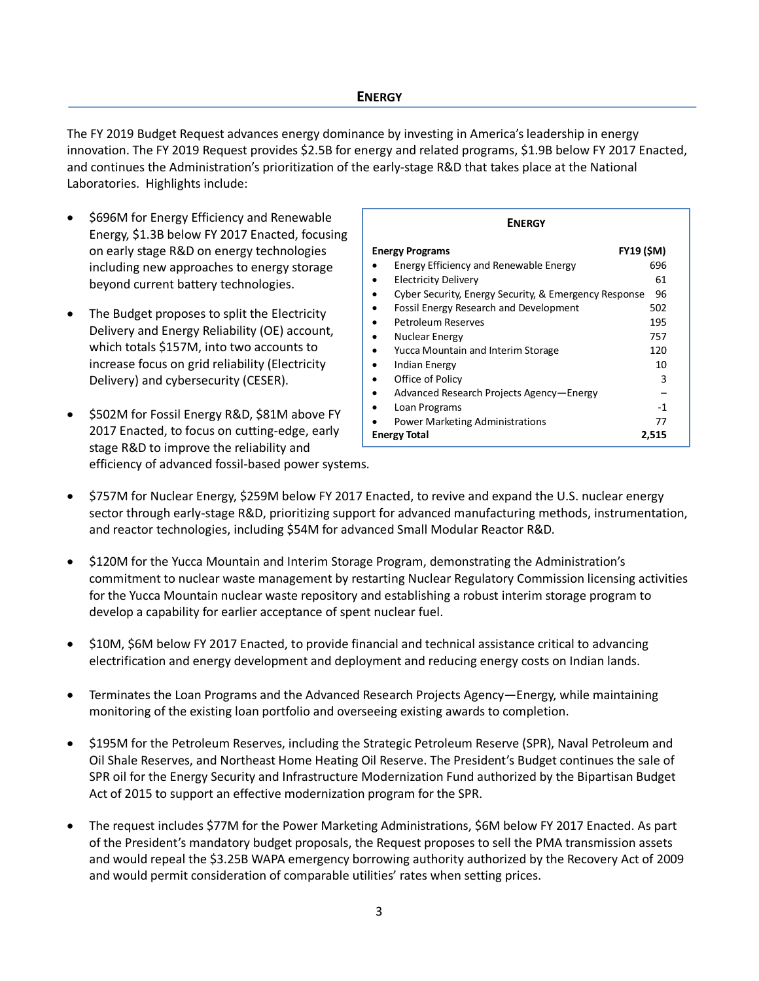The FY 2019 Budget Request advances energy dominance by investing in America's leadership in energy innovation. The FY 2019 Request provides \$2.5B for energy and related programs, \$1.9B below FY 2017 Enacted, and continues the Administration's prioritization of the early-stage R&D that takes place at the National Laboratories. Highlights include:

- \$696M for Energy Efficiency and Renewable Energy, \$1.3B below FY 2017 Enacted, focusing on early stage R&D on energy technologies including new approaches to energy storage beyond current battery technologies.
- The Budget proposes to split the Electricity Delivery and Energy Reliability (OE) account, which totals \$157M, into two accounts to increase focus on grid reliability (Electricity Delivery) and cybersecurity (CESER).
- \$502M for Fossil Energy R&D, \$81M above FY 2017 Enacted, to focus on cutting-edge, early stage R&D to improve the reliability and efficiency of advanced fossil-based power systems.

| <b>ENERGY</b>                                         |       |  |
|-------------------------------------------------------|-------|--|
| <b>FY19 (\$M)</b><br><b>Energy Programs</b>           |       |  |
| Energy Efficiency and Renewable Energy                | 696   |  |
| <b>Electricity Delivery</b>                           | 61    |  |
| Cyber Security, Energy Security, & Emergency Response | 96    |  |
| <b>Fossil Energy Research and Development</b>         | 502   |  |
| Petroleum Reserves                                    | 195   |  |
| <b>Nuclear Energy</b>                                 | 757   |  |
| Yucca Mountain and Interim Storage                    | 120   |  |
| <b>Indian Energy</b>                                  | 10    |  |
| Office of Policy                                      | 3     |  |
| Advanced Research Projects Agency-Energy              |       |  |
| Loan Programs                                         | -1    |  |
| <b>Power Marketing Administrations</b>                | 77    |  |
| <b>Energy Total</b>                                   | 2.515 |  |

- \$757M for Nuclear Energy, \$259M below FY 2017 Enacted, to revive and expand the U.S. nuclear energy sector through early-stage R&D, prioritizing support for advanced manufacturing methods, instrumentation, and reactor technologies, including \$54M for advanced Small Modular Reactor R&D.
- \$120M for the Yucca Mountain and Interim Storage Program, demonstrating the Administration's commitment to nuclear waste management by restarting Nuclear Regulatory Commission licensing activities for the Yucca Mountain nuclear waste repository and establishing a robust interim storage program to develop a capability for earlier acceptance of spent nuclear fuel.
- \$10M, \$6M below FY 2017 Enacted, to provide financial and technical assistance critical to advancing electrification and energy development and deployment and reducing energy costs on Indian lands.
- Terminates the Loan Programs and the Advanced Research Projects Agency—Energy, while maintaining monitoring of the existing loan portfolio and overseeing existing awards to completion.
- \$195M for the Petroleum Reserves, including the Strategic Petroleum Reserve (SPR), Naval Petroleum and Oil Shale Reserves, and Northeast Home Heating Oil Reserve. The President's Budget continues the sale of SPR oil for the Energy Security and Infrastructure Modernization Fund authorized by the Bipartisan Budget Act of 2015 to support an effective modernization program for the SPR.
- The request includes \$77M for the Power Marketing Administrations, \$6M below FY 2017 Enacted. As part of the President's mandatory budget proposals, the Request proposes to sell the PMA transmission assets and would repeal the \$3.25B WAPA emergency borrowing authority authorized by the Recovery Act of 2009 and would permit consideration of comparable utilities' rates when setting prices.